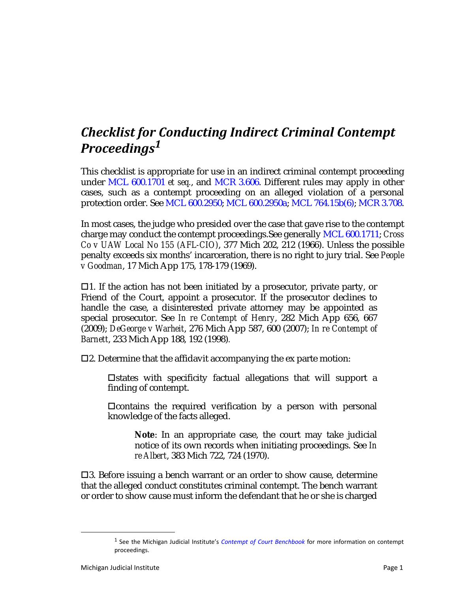## *Checklist for Conducting Indirect Criminal Contempt Proceedings<sup>1</sup>*

This checklist is appropriate for use in an indirect criminal contempt proceeding under MCL 600.1701 *et seq.*, and MCR 3.606. Different rules may apply in other cases, such as a contempt proceeding on an alleged violation of a personal protection order. See MCL 600.2950; MCL 600.2950a; MCL 764.15b(6); MCR 3.708.

In most cases, the judge who presided over the case that gave rise to the contempt charge may conduct the contempt proceedings.See generally MCL 600.1711; *Cross Co v UAW Local No 155 (AFL-CIO)*, 377 Mich 202, 212 (1966). Unless the possible penalty exceeds six months' incarceration, there is no right to jury trial. See *People v Goodman*, 17 Mich App 175, 178-179 (1969).

 $\Box$ 1. If the action has not been initiated by a prosecutor, private party, or Friend of the Court, appoint a prosecutor. If the prosecutor declines to handle the case, a disinterested private attorney may be appointed as special prosecutor. See *In re Contempt of Henry*, 282 Mich App 656, 667 (2009); *DeGeorge v Warheit*, 276 Mich App 587, 600 (2007); *In re Contempt of Barnett*, 233 Mich App 188, 192 (1998)*.*

 $\square$ 2. Determine that the affidavit accompanying the ex parte motion:

 $\Box$ states with specificity factual allegations that will support a finding of contempt.

 $\Box$ contains the required verification by a person with personal knowledge of the facts alleged.

**Note**: In an appropriate case, the court may take judicial notice of its own records when initiating proceedings. See *In re Albert*, 383 Mich 722, 724 (1970).

3. Before issuing a bench warrant or an order to show cause, determine that the alleged conduct constitutes criminal contempt. The bench warrant or order to show cause must inform the defendant that he or she is charged

<sup>1</sup> See the Michigan Judicial Institute's *Contempt of Court Benchbook* for more information on contempt proceedings.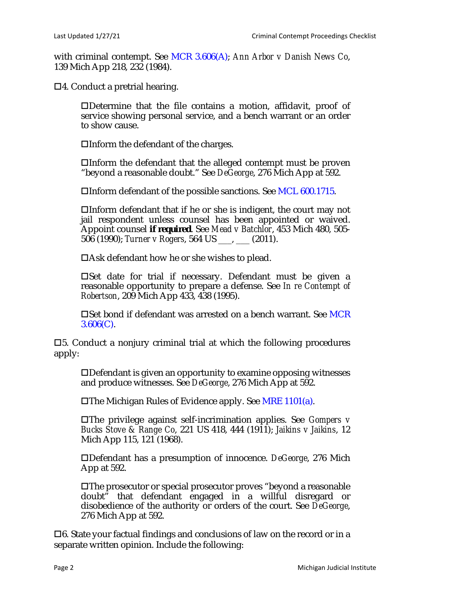with criminal contempt. See MCR 3.606(A); *Ann Arbor v Danish News Co*, 139 Mich App 218, 232 (1984).

 $\Box$ 4. Conduct a pretrial hearing.

Determine that the file contains a motion, affidavit, proof of service showing personal service, and a bench warrant or an order to show cause.

 $\Box$ Inform the defendant of the charges.

Inform the defendant that the alleged contempt must be proven "beyond a reasonable doubt." See *DeGeorge*, 276 Mich App at 592.

Inform defendant of the possible sanctions. See MCL 600.1715.

Inform defendant that if he or she is indigent, the court may not jail respondent unless counsel has been appointed or waived. Appoint counsel *if required*. See *Mead v Batchlor*, 453 Mich 480, 505- 506 (1990); *Turner v Rogers*, 564 US \_\_\_, \_\_\_ (2011).

 $\Box$ Ask defendant how he or she wishes to plead.

Set date for trial if necessary. Defendant must be given a reasonable opportunity to prepare a defense. See *In re Contempt of Robertson*, 209 Mich App 433, 438 (1995).

□Set bond if defendant was arrested on a bench warrant. See MCR  $3.606(C)$ .

 $\square$ 5. Conduct a nonjury criminal trial at which the following procedures apply:

Defendant is given an opportunity to examine opposing witnesses and produce witnesses. See *DeGeorge*, 276 Mich App at 592.

 $\Box$ The Michigan Rules of Evidence apply. See MRE 1101(a).

The privilege against self-incrimination applies. See *Gompers v Bucks Stove & Range Co*, 221 US 418, 444 (1911); *Jaikins v Jaikins*, 12 Mich App 115, 121 (1968).

Defendant has a presumption of innocence. *DeGeorge*, 276 Mich App at 592.

The prosecutor or special prosecutor proves "beyond a reasonable doubt" that defendant engaged in a willful disregard or disobedience of the authority or orders of the court. See *DeGeorge*, 276 Mich App at 592.

 $\Box$ 6. State your factual findings and conclusions of law on the record or in a separate written opinion. Include the following: